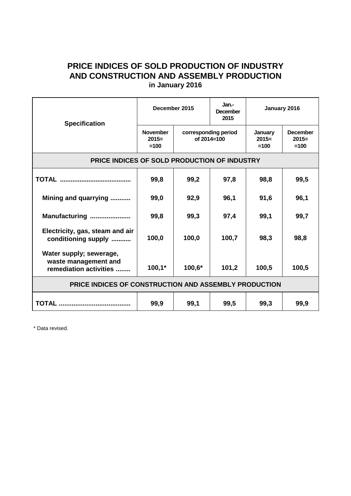## **PRICE INDICES OF SOLD PRODUCTION OF INDUSTRY AND CONSTRUCTION AND ASSEMBLY PRODUCTION in January 2016**

| <b>Specification</b>                                                      | December 2015                        |                                     | Jan.-<br><b>December</b><br>2015 | January 2016                 |                                      |
|---------------------------------------------------------------------------|--------------------------------------|-------------------------------------|----------------------------------|------------------------------|--------------------------------------|
|                                                                           | <b>November</b><br>$2015=$<br>$=100$ | corresponding period<br>of 2014=100 |                                  | January<br>$2015=$<br>$=100$ | <b>December</b><br>$2015=$<br>$=100$ |
| PRICE INDICES OF SOLD PRODUCTION OF INDUSTRY                              |                                      |                                     |                                  |                              |                                      |
|                                                                           | 99,8                                 | 99,2                                | 97,8                             | 98,8                         | 99,5                                 |
| Mining and quarrying                                                      | 99,0                                 | 92,9                                | 96,1                             | 91,6                         | 96,1                                 |
| Manufacturing                                                             | 99,8                                 | 99,3                                | 97,4                             | 99,1                         | 99,7                                 |
| Electricity, gas, steam and air<br>conditioning supply                    | 100,0                                | 100,0                               | 100,7                            | 98,3                         | 98,8                                 |
| Water supply; sewerage,<br>waste management and<br>remediation activities | $100,1*$                             | $100,6*$                            | 101,2                            | 100,5                        | 100,5                                |
| PRICE INDICES OF CONSTRUCTION AND ASSEMBLY PRODUCTION                     |                                      |                                     |                                  |                              |                                      |
|                                                                           | 99,9                                 | 99,1                                | 99,5                             | 99,3                         | 99,9                                 |

\* Data revised.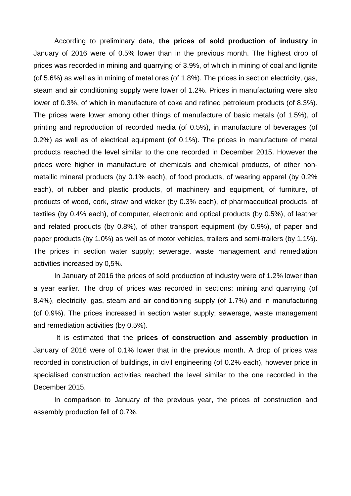According to preliminary data, **the prices of sold production of industry** in January of 2016 were of 0.5% lower than in the previous month. The highest drop of prices was recorded in mining and quarrying of 3.9%, of which in mining of coal and lignite (of 5.6%) as well as in mining of metal ores (of 1.8%). The prices in section electricity, gas, steam and air conditioning supply were lower of 1.2%. Prices in manufacturing were also lower of 0.3%, of which in manufacture of coke and refined petroleum products (of 8.3%). The prices were lower among other things of manufacture of basic metals (of 1.5%), of printing and reproduction of recorded media (of 0.5%), in manufacture of beverages (of 0.2%) as well as of electrical equipment (of 0.1%). The prices in manufacture of metal products reached the level similar to the one recorded in December 2015. However the prices were higher in manufacture of chemicals and chemical products, of other nonmetallic mineral products (by 0.1% each), of food products, of wearing apparel (by 0.2% each), of rubber and plastic products, of machinery and equipment, of furniture, of products of wood, cork, straw and wicker (by 0.3% each), of pharmaceutical products, of textiles (by 0.4% each), of computer, electronic and optical products (by 0.5%), of leather and related products (by 0.8%), of other transport equipment (by 0.9%), of paper and paper products (by 1.0%) as well as of motor vehicles, trailers and semi-trailers (by 1.1%). The prices in section water supply; sewerage, waste management and remediation activities increased by 0,5%.

In January of 2016 the prices of sold production of industry were of 1.2% lower than a year earlier. The drop of prices was recorded in sections: mining and quarrying (of 8.4%), electricity, gas, steam and air conditioning supply (of 1.7%) and in manufacturing (of 0.9%). The prices increased in section water supply; sewerage, waste management and remediation activities (by 0.5%).

It is estimated that the **prices of construction and assembly production** in January of 2016 were of 0.1% lower that in the previous month. A drop of prices was recorded in construction of buildings, in civil engineering (of 0.2% each), however price in specialised construction activities reached the level similar to the one recorded in the December 2015.

In comparison to January of the previous year, the prices of construction and assembly production fell of 0.7%.